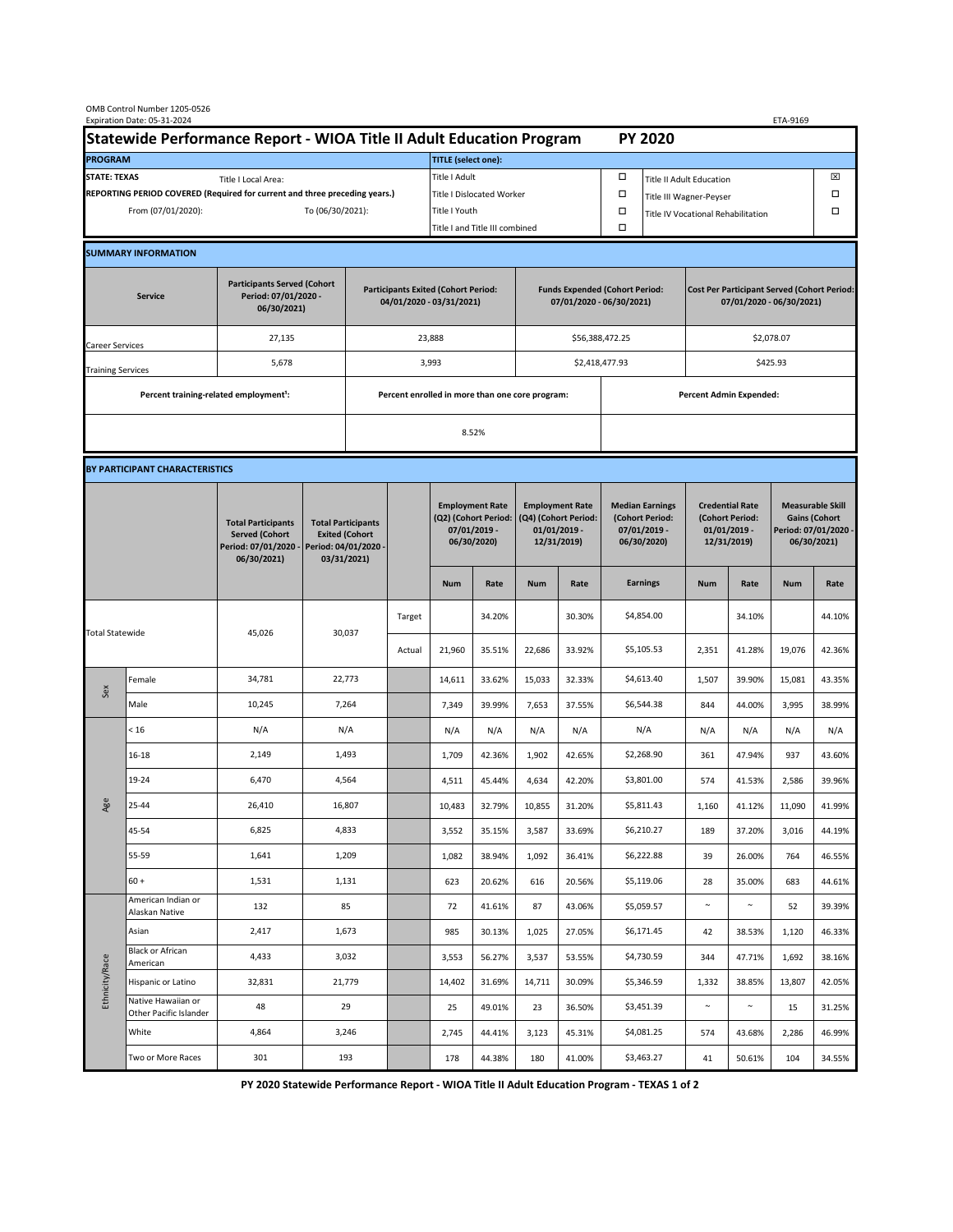| OMB Control Number 1205-0526<br>Expiration Date: 05-31-2024<br>ETA-9169                     |                                                    |                                                                                           |                                                                                           |                                                                        |        |                                                                               |                  |                                                                                 |                  |                                                                            |                                    |                                                                                |                  |                                                                                        |                  |  |
|---------------------------------------------------------------------------------------------|----------------------------------------------------|-------------------------------------------------------------------------------------------|-------------------------------------------------------------------------------------------|------------------------------------------------------------------------|--------|-------------------------------------------------------------------------------|------------------|---------------------------------------------------------------------------------|------------------|----------------------------------------------------------------------------|------------------------------------|--------------------------------------------------------------------------------|------------------|----------------------------------------------------------------------------------------|------------------|--|
| Statewide Performance Report - WIOA Title II Adult Education Program                        |                                                    |                                                                                           |                                                                                           |                                                                        |        |                                                                               |                  |                                                                                 |                  |                                                                            | <b>PY 2020</b>                     |                                                                                |                  |                                                                                        |                  |  |
| <b>PROGRAM</b>                                                                              |                                                    |                                                                                           |                                                                                           |                                                                        |        | <b>TITLE</b> (select one):                                                    |                  |                                                                                 |                  |                                                                            |                                    |                                                                                |                  |                                                                                        |                  |  |
| <b>STATE: TEXAS</b><br>Title I Local Area:                                                  |                                                    |                                                                                           |                                                                                           |                                                                        |        | Title I Adult                                                                 |                  |                                                                                 |                  | □<br><b>Title II Adult Education</b>                                       |                                    |                                                                                |                  |                                                                                        | ⊠                |  |
| REPORTING PERIOD COVERED (Required for current and three preceding years.)                  |                                                    |                                                                                           |                                                                                           |                                                                        |        | Title I Dislocated Worker                                                     |                  |                                                                                 | Ω                | Title III Wagner-Peyser                                                    |                                    |                                                                                |                  | □                                                                                      |                  |  |
| From (07/01/2020):                                                                          |                                                    |                                                                                           |                                                                                           | To (06/30/2021):                                                       |        |                                                                               | Title I Youth    |                                                                                 |                  | $\Box$                                                                     | Title IV Vocational Rehabilitation |                                                                                |                  |                                                                                        | □                |  |
|                                                                                             |                                                    |                                                                                           |                                                                                           |                                                                        |        | Title I and Title III combined                                                |                  |                                                                                 |                  | Ω                                                                          |                                    |                                                                                |                  |                                                                                        |                  |  |
|                                                                                             | <b>SUMMARY INFORMATION</b>                         |                                                                                           |                                                                                           |                                                                        |        |                                                                               |                  |                                                                                 |                  |                                                                            |                                    |                                                                                |                  |                                                                                        |                  |  |
| <b>Participants Served (Cohort</b><br>Period: 07/01/2020 -<br><b>Service</b><br>06/30/2021) |                                                    |                                                                                           |                                                                                           | <b>Participants Exited (Cohort Period:</b><br>04/01/2020 - 03/31/2021) |        |                                                                               |                  | <b>Funds Expended (Cohort Period:</b><br>07/01/2020 - 06/30/2021)               |                  |                                                                            |                                    | <b>Cost Per Participant Served (Cohort Period:</b><br>07/01/2020 - 06/30/2021) |                  |                                                                                        |                  |  |
| Career Services                                                                             |                                                    | 27,135                                                                                    |                                                                                           |                                                                        |        | 23,888                                                                        |                  |                                                                                 |                  | \$56,388,472.25                                                            |                                    | \$2,078.07                                                                     |                  |                                                                                        |                  |  |
| <b>Training Services</b>                                                                    |                                                    | 5,678                                                                                     |                                                                                           | 3,993                                                                  |        |                                                                               |                  |                                                                                 |                  |                                                                            | \$2,418,477.93                     |                                                                                | \$425.93         |                                                                                        |                  |  |
|                                                                                             | Percent training-related employment <sup>1</sup> : |                                                                                           | Percent enrolled in more than one core program:                                           |                                                                        |        |                                                                               |                  |                                                                                 |                  | <b>Percent Admin Expended:</b>                                             |                                    |                                                                                |                  |                                                                                        |                  |  |
|                                                                                             |                                                    |                                                                                           |                                                                                           |                                                                        |        | 8.52%                                                                         |                  |                                                                                 |                  |                                                                            |                                    |                                                                                |                  |                                                                                        |                  |  |
|                                                                                             |                                                    |                                                                                           |                                                                                           |                                                                        |        |                                                                               |                  |                                                                                 |                  |                                                                            |                                    |                                                                                |                  |                                                                                        |                  |  |
|                                                                                             | BY PARTICIPANT CHARACTERISTICS                     |                                                                                           |                                                                                           |                                                                        |        |                                                                               |                  |                                                                                 |                  |                                                                            |                                    |                                                                                |                  |                                                                                        |                  |  |
|                                                                                             |                                                    | <b>Total Participants</b><br><b>Served (Cohort</b><br>Period: 07/01/2020 -<br>06/30/2021) | <b>Total Participants</b><br><b>Exited (Cohort</b><br>Period: 04/01/2020 -<br>03/31/2021) |                                                                        |        | <b>Employment Rate</b><br>(Q2) (Cohort Period:<br>07/01/2019 -<br>06/30/2020) |                  | <b>Employment Rate</b><br>(Q4) (Cohort Period:<br>$01/01/2019$ -<br>12/31/2019) |                  | <b>Median Earnings</b><br>(Cohort Period:<br>$07/01/2019 -$<br>06/30/2020) |                                    | <b>Credential Rate</b><br>(Cohort Period:<br>$01/01/2019$ -<br>12/31/2019)     |                  | <b>Measurable Skill</b><br><b>Gains (Cohort</b><br>Period: 07/01/2020 -<br>06/30/2021) |                  |  |
|                                                                                             |                                                    |                                                                                           |                                                                                           |                                                                        |        | <b>Num</b>                                                                    | Rate             | <b>Num</b>                                                                      | Rate             |                                                                            | <b>Earnings</b>                    | <b>Num</b>                                                                     | Rate             | <b>Num</b>                                                                             | Rate             |  |
| <b>Total Statewide</b>                                                                      |                                                    | 45,026                                                                                    | 30,037                                                                                    |                                                                        | Target |                                                                               | 34.20%           |                                                                                 | 30.30%           |                                                                            | \$4,854.00                         |                                                                                | 34.10%           |                                                                                        | 44.10%           |  |
|                                                                                             |                                                    |                                                                                           |                                                                                           |                                                                        | Actual | 21,960                                                                        | 35.51%           | 22,686                                                                          | 33.92%           |                                                                            | \$5,105.53                         | 2,351                                                                          | 41.28%           | 19,076                                                                                 | 42.36%           |  |
| Sex                                                                                         | Female                                             | 34,781                                                                                    | 22,773                                                                                    |                                                                        |        | 14,611                                                                        | 33.62%           | 15,033                                                                          | 32.33%           |                                                                            | \$4,613.40                         | 1,507                                                                          | 39.90%           | 15,081                                                                                 | 43.35%           |  |
|                                                                                             | Male                                               | 10,245                                                                                    | 7,264                                                                                     |                                                                        |        | 7,349                                                                         | 39.99%           | 7,653                                                                           | 37.55%           |                                                                            | \$6,544.38                         | 844                                                                            | 44.00%           | 3,995                                                                                  | 38.99%           |  |
|                                                                                             | < 16                                               | N/A                                                                                       | N/A                                                                                       |                                                                        |        | N/A                                                                           | N/A              | N/A                                                                             | N/A              |                                                                            | N/A                                | N/A                                                                            | N/A              | N/A                                                                                    | N/A              |  |
|                                                                                             | $16 - 18$                                          | 2,149                                                                                     | 1,493                                                                                     |                                                                        |        | 1,709                                                                         | 42.36%           | 1,902                                                                           | 42.65%           |                                                                            | \$2,268.90                         | 361                                                                            | 47.94%           | 937                                                                                    | 43.60%           |  |
| Age                                                                                         | 19-24                                              | 6,470                                                                                     | 4,564                                                                                     |                                                                        |        | 4,511                                                                         | 45.44%           | 4,634                                                                           | 42.20%           |                                                                            | \$3,801.00                         | 574                                                                            | 41.53%           | 2,586                                                                                  | 39.96%           |  |
|                                                                                             | 25-44                                              | 26,410                                                                                    | 16,807                                                                                    |                                                                        |        | 10,483                                                                        | 32.79%           | 10,855                                                                          | 31.20%           |                                                                            | \$5,811.43                         | 1,160                                                                          | 41.12%           | 11,090                                                                                 | 41.99%           |  |
|                                                                                             | 45-54                                              | 6,825                                                                                     | 4,833                                                                                     |                                                                        |        | 3,552                                                                         | 35.15%           | 3,587                                                                           | 33.69%           |                                                                            | \$6,210.27                         | 189                                                                            | 37.20%           | 3,016                                                                                  | 44.19%           |  |
|                                                                                             | 55-59                                              | 1,641                                                                                     | 1,209                                                                                     |                                                                        |        | 1,082                                                                         | 38.94%           | 1,092                                                                           | 36.41%           |                                                                            | \$6,222.88                         | 39                                                                             | 26.00%           | 764                                                                                    | 46.55%           |  |
|                                                                                             | $60 +$                                             | 1,531                                                                                     | 1,131                                                                                     |                                                                        |        | 623                                                                           | 20.62%           | 616                                                                             | 20.56%           |                                                                            | \$5,119.06                         | 28                                                                             | 35.00%           | 683                                                                                    | 44.61%           |  |
| Ethnicity/Race                                                                              | American Indian or<br>Alaskan Native               | 132                                                                                       | 85                                                                                        |                                                                        |        | 72                                                                            | 41.61%           | 87                                                                              | 43.06%           |                                                                            | \$5,059.57                         | $\sim$                                                                         | $\sim$           | 52                                                                                     | 39.39%           |  |
|                                                                                             | Asian<br>Black or African                          | 2,417                                                                                     | 1,673                                                                                     |                                                                        |        | 985                                                                           | 30.13%           | 1,025                                                                           | 27.05%           |                                                                            | \$6,171.45                         | 42                                                                             | 38.53%           | 1,120                                                                                  | 46.33%           |  |
|                                                                                             | American                                           | 4,433                                                                                     | 3,032                                                                                     |                                                                        |        | 3,553                                                                         | 56.27%           | 3,537                                                                           | 53.55%           |                                                                            | \$4,730.59                         | 344                                                                            | 47.71%           | 1,692                                                                                  | 38.16%           |  |
|                                                                                             | Hispanic or Latino<br>Native Hawaiian or           | 32,831                                                                                    | 21,779                                                                                    |                                                                        |        | 14,402                                                                        | 31.69%           | 14,711                                                                          | 30.09%           |                                                                            | \$5,346.59                         | 1,332                                                                          | 38.85%           | 13,807                                                                                 | 42.05%           |  |
|                                                                                             | Other Pacific Islander<br>White                    | 48                                                                                        | 29<br>3,246                                                                               |                                                                        |        | 25                                                                            | 49.01%           | 23                                                                              | 36.50%           |                                                                            | \$3,451.39                         | $\sim$                                                                         | $\sim$           | 15                                                                                     | 31.25%           |  |
|                                                                                             | Two or More Races                                  | 4,864<br>301                                                                              | 193                                                                                       |                                                                        |        | 2,745<br>178                                                                  | 44.41%<br>44.38% | 3,123<br>180                                                                    | 45.31%<br>41.00% |                                                                            | \$4,081.25<br>\$3,463.27           | 574<br>41                                                                      | 43.68%<br>50.61% | 2,286<br>104                                                                           | 46.99%<br>34.55% |  |
|                                                                                             |                                                    |                                                                                           |                                                                                           |                                                                        |        |                                                                               |                  |                                                                                 |                  |                                                                            |                                    |                                                                                |                  |                                                                                        |                  |  |

**PY 2020 Statewide Performance Report - WIOA Title II Adult Education Program - TEXAS 1 of 2**